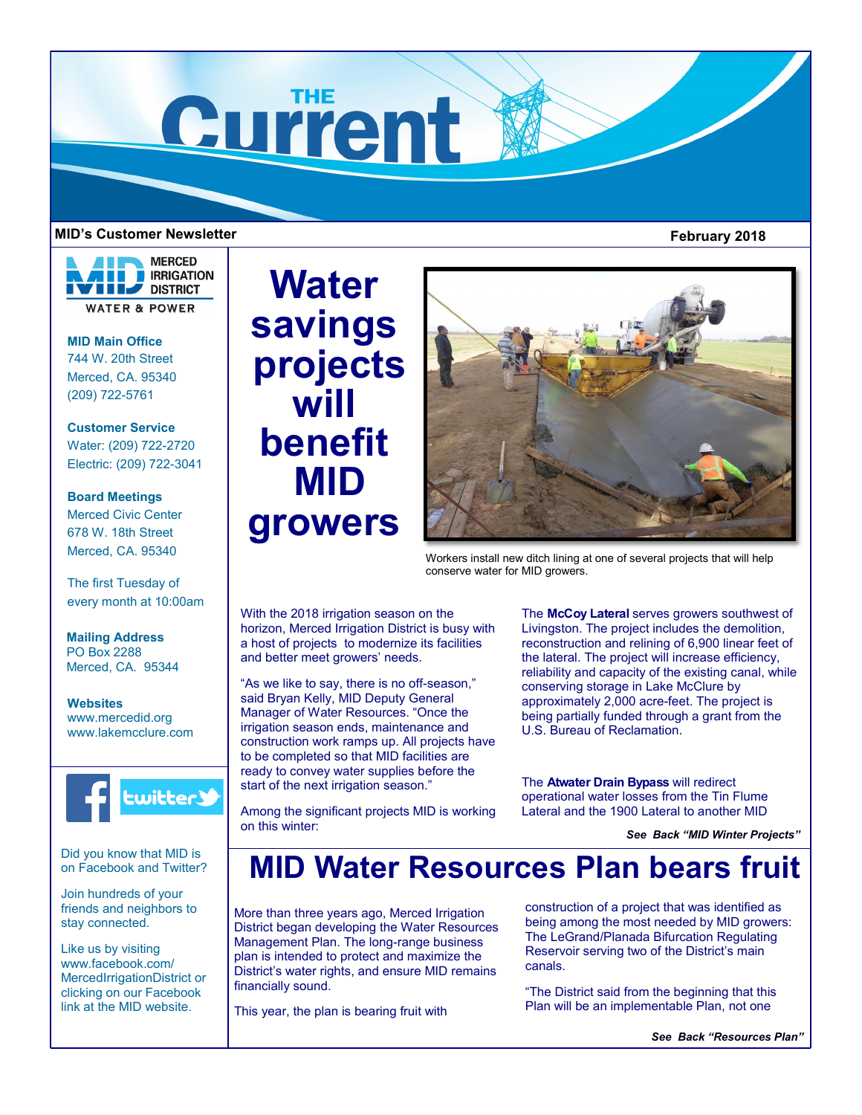

# **MID's Customer Newsletter February 2018**

# **MERCED IRRIGATION DISTRICT WATER & POWER**

**MID Main Office** 744 W. 20th Street Merced, CA. 95340 (209) 722-5761

**Customer Service** Water: (209) 722-2720 Electric: (209) 722-3041

# **Board Meetings**

Merced Civic Center 678 W. 18th Street Merced, CA. 95340

The first Tuesday of every month at 10:00am

**Mailing Address** PO Box 2288 Merced, CA. 95344

**Websites** www.mercedid.org www.lakemcclure.com



Did you know that MID is on Facebook and Twitter?

Join hundreds of your friends and neighbors to stay connected.

Like us by visiting www.facebook.com/ MercedIrrigationDistrict or clicking on our Facebook link at the MID website.

# **Water savings projects will benefit MID growers**



Workers install new ditch lining at one of several projects that will help conserve water for MID growers.

With the 2018 irrigation season on the horizon, Merced Irrigation District is busy with a host of projects to modernize its facilities and better meet growers' needs.

"As we like to say, there is no off-season," said Bryan Kelly, MID Deputy General Manager of Water Resources. "Once the irrigation season ends, maintenance and construction work ramps up. All projects have to be completed so that MID facilities are ready to convey water supplies before the start of the next irrigation season."

Among the significant projects MID is working on this winter:

The **McCoy Lateral** serves growers southwest of Livingston. The project includes the demolition, reconstruction and relining of 6,900 linear feet of the lateral. The project will increase efficiency, reliability and capacity of the existing canal, while conserving storage in Lake McClure by approximately 2,000 acre-feet. The project is being partially funded through a grant from the U.S. Bureau of Reclamation.

The **Atwater Drain Bypass** will redirect operational water losses from the Tin Flume Lateral and the 1900 Lateral to another MID

*See Back "MID Winter Projects"* 

# **MID Water Resources Plan bears fruit**

More than three years ago, Merced Irrigation District began developing the Water Resources Management Plan. The long-range business plan is intended to protect and maximize the District's water rights, and ensure MID remains financially sound.

This year, the plan is bearing fruit with

construction of a project that was identified as being among the most needed by MID growers: The LeGrand/Planada Bifurcation Regulating Reservoir serving two of the District's main canals.

"The District said from the beginning that this Plan will be an implementable Plan, not one

*See Back "Resources Plan"*